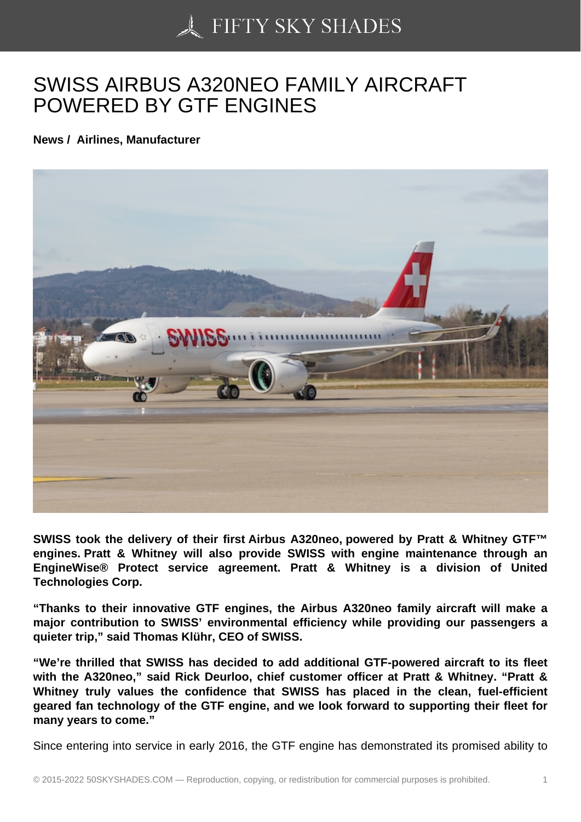## [SWISS AIRBUS A320N](https://50skyshades.com)EO FAMILY AIRCRAFT POWERED BY GTF ENGINES

News / Airlines, Manufacturer

SWISS took the delivery of their first Airbus A320neo, powered by Pratt & Whitney GTF™ engines. Pratt & Whitney will also provide SWISS with engine maintenance through an EngineWise® Protect service agreement. Pratt & Whitney is a division of United Technologies Corp.

"Thanks to their innovative GTF engines, the Airbus A320neo family aircraft will make a major contribution to SWISS' environmental efficiency while providing our passengers a quieter trip," said Thomas Klühr, CEO of SWISS.

"We're thrilled that SWISS has decided to add additional GTF-powered aircraft to its fleet with the A320neo," said Rick Deurloo, chief customer officer at Pratt & Whitney. "Pratt & Whitney truly values the confidence that SWISS has placed in the clean, fuel-efficient geared fan technology of the GTF engine, and we look forward to supporting their fleet for many years to come."

Since entering into service in early 2016, the GTF engine has demonstrated its promised ability to